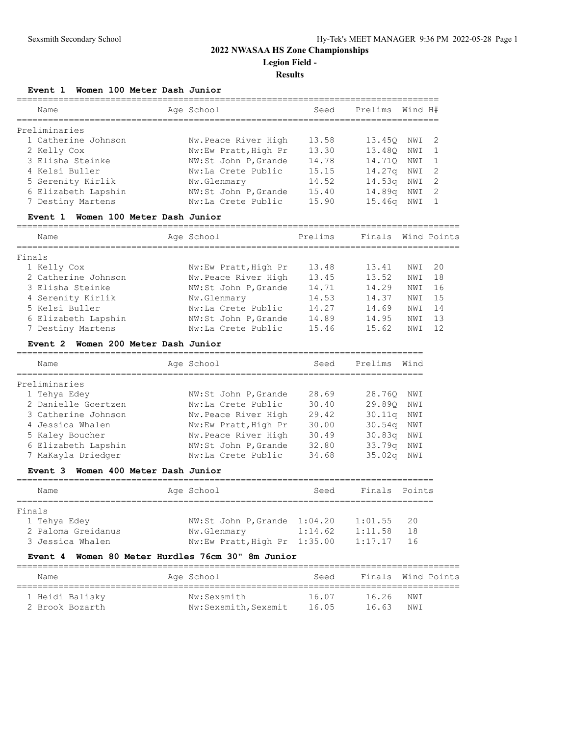#### **Event 1 Women 100 Meter Dash Junior**

| Name                | Age School           | Seed  | Prelims Wind H#    |     |                |
|---------------------|----------------------|-------|--------------------|-----|----------------|
| Preliminaries       |                      |       |                    |     |                |
| 1 Catherine Johnson | Nw.Peace River High  | 13.58 | 13.450             | NWI | - 2            |
| 2 Kelly Cox         | Nw:Ew Pratt, High Pr | 13.30 | 13.480             | NWI | $\overline{1}$ |
| 3 Elisha Steinke    | NW:St John P, Grande | 14.78 | 14.710             | NWI | $\overline{1}$ |
| 4 Kelsi Buller      | Nw:La Crete Public   | 15.15 | 14.27 <sub>q</sub> | NWI | -2             |
| 5 Serenity Kirlik   | Nw.Glenmary          | 14.52 | 14.53 <sub>q</sub> | NWI | -2             |
| 6 Elizabeth Lapshin | NW:St John P, Grande | 15.40 | 14.89 <sub>q</sub> | NWI | -2             |
| 7 Destiny Martens   | Nw:La Crete Public   | 15.90 | 15.46 <sub>q</sub> | NWI |                |

#### **Event 1 Women 100 Meter Dash Junior**

===================================================================================== Name **Age School** Prelims Finals Wind Points ===================================================================================== Finals 1 Kelly Cox Nw:Ew Pratt,High Pr 13.48 13.41 NWI 20 2 Catherine Johnson Mw.Peace River High 13.45 13.52 NWI 18 3 Elisha Steinke NW:St John P,Grande 14.71 14.29 NWI 16 4 Serenity Kirlik Nw.Glenmary 14.53 14.37 NWI 15 5 Kelsi Buller Nw:La Crete Public 14.27 14.69 NWI 14 6 Elizabeth Lapshin NW:St John P,Grande 14.89 14.95 NWI 13 7 Destiny Martens Nw:La Crete Public 15.46 15.62 NWI 12

#### **Event 2 Women 200 Meter Dash Junior**

| Name                | Age School           | Seed  | Prelims            | Wind |
|---------------------|----------------------|-------|--------------------|------|
| Preliminaries       |                      |       |                    |      |
| 1 Tehya Edey        | NW:St John P, Grande | 28.69 | 28,760             | NWI  |
| 2 Danielle Goertzen | Nw:La Crete Public   | 30.40 | 29.890             | NWI  |
| 3 Catherine Johnson | Nw.Peace River High  | 29.42 | 30.11q             | NWI  |
| 4 Jessica Whalen    | Nw:Ew Pratt, High Pr | 30.00 | 30.54 <sub>q</sub> | NWI  |
| 5 Kaley Boucher     | Nw.Peace River High  | 30.49 | 30.83q             | NWI  |
| 6 Elizabeth Lapshin | NW:St John P, Grande | 32.80 | 33.79q             | NWI  |
| 7 MaKayla Driedger  | Nw:La Crete Public   | 34.68 | 35.02 <sub>q</sub> | NWI  |

#### **Event 3 Women 400 Meter Dash Junior**

| Name               | Age School  | Seed                         | Finals Points |     |
|--------------------|-------------|------------------------------|---------------|-----|
|                    |             |                              |               |     |
| Finals             |             |                              |               |     |
| 1 Tehya Edey       |             | NW:St John P.Grande 1:04.20  | 1:01.55       | 20  |
| 2 Paloma Greidanus | Nw.Glenmary | 1:14.62                      | 1:11.58       | 18  |
| 3 Jessica Whalen   |             | Nw:Ew Pratt, High Pr 1:35.00 | 1:17.17       | -16 |

#### **Event 4 Women 80 Meter Hurdles 76cm 30" 8m Junior**

| Name            | Age School           | Seed  |       | Finals Wind Points |
|-----------------|----------------------|-------|-------|--------------------|
| 1 Heidi Balisky | Nw:Sexsmith          | 16.07 | 16.26 | NWI                |
| 2 Brook Bozarth | Nw:Sexsmith, Sexsmit | 16.05 | 16.63 | NWI                |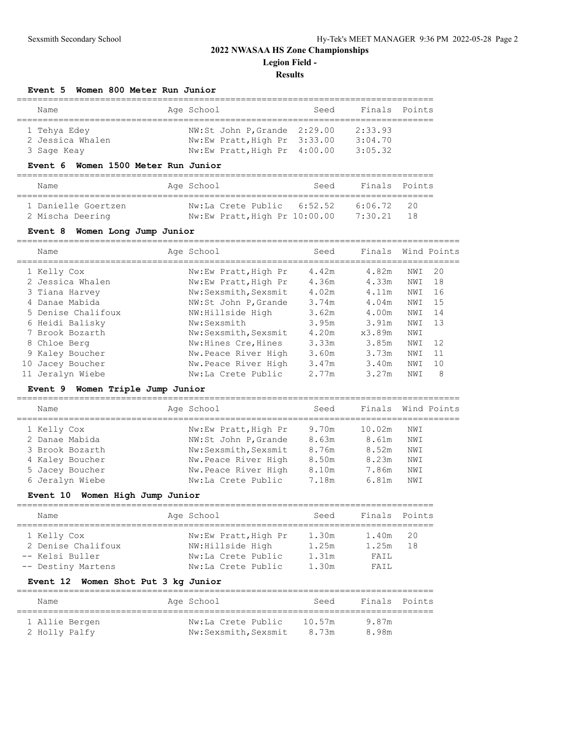## **Results**

#### **Event 5 Women 800 Meter Run Junior**

| Name             | Age School |                              | Seed |         | Finals Points |
|------------------|------------|------------------------------|------|---------|---------------|
|                  |            |                              |      |         |               |
| 1 Tehya Edey     |            | NW:St John P, Grande 2:29.00 |      | 2:33.93 |               |
| 2 Jessica Whalen |            | Nw:Ew Pratt, High Pr 3:33.00 |      | 3:04.70 |               |
| 3 Sage Keay      |            | Nw:Ew Pratt, High Pr 4:00.00 |      | 3:05.32 |               |

#### **Event 6 Women 1500 Meter Run Junior**

| Name                | Age School                    | Seed | Finals Points |           |
|---------------------|-------------------------------|------|---------------|-----------|
| 1 Danielle Goertzen | Nw:La Crete Public 6:52.52    |      | 6:06.72       | $\sim$ 20 |
| 2 Mischa Deering    | Nw:Ew Pratt, High Pr 10:00.00 |      | 7:30.21       | 1 R       |

### **Event 8 Women Long Jump Junior**

|    | Name               | Age School           | Seed  | Finals |      | Wind Points |
|----|--------------------|----------------------|-------|--------|------|-------------|
|    | 1 Kelly Cox        | Nw:Ew Pratt, High Pr | 4.42m | 4.82m  | NWI  | 20          |
|    | 2 Jessica Whalen   | Nw:Ew Pratt, High Pr | 4.36m | 4.33m  | NWI  | 18          |
|    | 3 Tiana Harvey     | Nw:Sexsmith, Sexsmit | 4.02m | 4.11m  | NWI  | 16          |
|    | 4 Danae Mabida     | NW:St John P, Grande | 3.74m | 4.04m  | NWI  | 15          |
|    | 5 Denise Chalifoux | NW:Hillside High     | 3.62m | 4.00m  | NWI  | 14          |
|    | 6 Heidi Balisky    | Nw:Sexsmith          | 3.95m | 3.91m  | NWI  | 13          |
|    | 7 Brook Bozarth    | Nw:Sexsmith, Sexsmit | 4.20m | x3.89m | NWI  |             |
|    | 8 Chloe Berg       | Nw: Hines Cre, Hines | 3.33m | 3.85m  | NWI  | 12          |
|    | 9 Kaley Boucher    | Nw.Peace River High  | 3.60m | 3.73m  | NWI  | 11          |
| 10 | Jacey Boucher      | Nw.Peace River High  | 3.47m | 3.40m  | NWI  | 10          |
|    | 11 Jeralyn Wiebe   | Nw:La Crete Public   | 2.77m | 3.27m  | NW T | 8           |

#### **Event 9 Women Triple Jump Junior**

| Name            | Age School           | Seed  | Finals Wind Points |     |  |
|-----------------|----------------------|-------|--------------------|-----|--|
| 1 Kelly Cox     | Nw:Ew Pratt, High Pr | 9.70m | 10.02m             | NWI |  |
| 2 Danae Mabida  | NW:St John P, Grande | 8.63m | 8.61m              | NWI |  |
| 3 Brook Bozarth | Nw:Sexsmith, Sexsmit | 8.76m | 8.52m              | NWI |  |
| 4 Kaley Boucher | Nw.Peace River High  | 8.50m | 8.23m              | NWI |  |
| 5 Jacey Boucher | Nw. Peace River High | 8.10m | 7.86m              | NWI |  |
| 6 Jeralyn Wiebe | Nw:La Crete Public   | 7.18m | 6.81m              | NWI |  |

### **Event 10 Women High Jump Junior**

| Name               |  | Age School           | Seed  | Finals Points |     |  |  |  |
|--------------------|--|----------------------|-------|---------------|-----|--|--|--|
|                    |  |                      |       |               |     |  |  |  |
| 1 Kelly Cox        |  | Nw:Ew Pratt, High Pr | 1.30m | 1.40m         | 20  |  |  |  |
| 2 Denise Chalifoux |  | NW:Hillside High     | 1.25m | 1.25m         | 1 R |  |  |  |
| -- Kelsi Buller    |  | Nw:La Crete Public   | 1.31m | FATI.         |     |  |  |  |
| -- Destiny Martens |  | Nw:La Crete Public   | 1.30m | FATL          |     |  |  |  |

## **Event 12 Women Shot Put 3 kg Junior**

| Name           | Age School           | Seed   | Finals Points |  |
|----------------|----------------------|--------|---------------|--|
| 1 Allie Bergen | Nw:La Crete Public   | 10.57m | 9.87m         |  |
| 2 Holly Palfy  | Nw:Sexsmith, Sexsmit | 8.73m  | 8.98m         |  |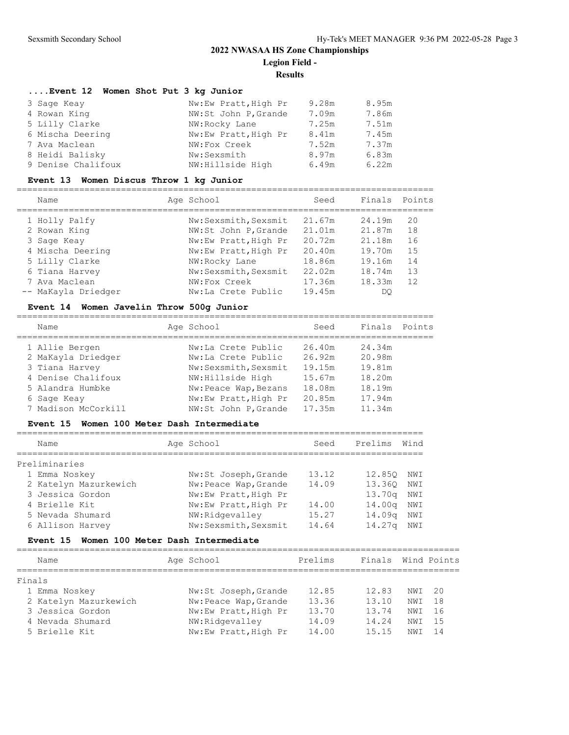#### **Results**

| Event 12 Women Shot Put 3 kg Junior |                      |       |       |
|-------------------------------------|----------------------|-------|-------|
| 3 Sage Keay                         | Nw:Ew Pratt, High Pr | 9.28m | 8.95m |
| 4 Rowan King                        | NW:St John P, Grande | 7.09m | 7.86m |
| 5 Lilly Clarke                      | NW:Rocky Lane        | 7.25m | 7.51m |
| 6 Mischa Deering                    | Nw:Ew Pratt, High Pr | 8.41m | 7.45m |
| 7 Ava Maclean                       | NW:Fox Creek         | 7.52m | 7.37m |
| 8 Heidi Balisky                     | Nw:Sexsmith          | 8.97m | 6.83m |
| 9 Denise Chalifoux                  | NW: Hillside High    | 6.49m | 6.22m |

#### **Event 13 Women Discus Throw 1 kg Junior**

================================================================================

| Name                | Age School           | Seed   | Finals | Points |
|---------------------|----------------------|--------|--------|--------|
| 1 Holly Palfy       | Nw:Sexsmith, Sexsmit | 21.67m | 24.19m | 20     |
| 2 Rowan King        | NW:St John P, Grande | 21.01m | 21.87m | 18     |
| 3 Sage Keay         | Nw:Ew Pratt, High Pr | 20.72m | 21.18m | 16     |
| 4 Mischa Deering    | Nw:Ew Pratt, High Pr | 20.40m | 19.70m | 15     |
| 5 Lilly Clarke      | NW:Rocky Lane        | 18.86m | 19.16m | 14     |
| 6 Tiana Harvey      | Nw:Sexsmith, Sexsmit | 22.02m | 18.74m | 13     |
| 7 Ava Maclean       | NW:Fox Creek         | 17.36m | 18.33m | 12     |
| -- MaKayla Driedger | Nw:La Crete Public   | 19.45m | DO     |        |
|                     |                      |        |        |        |

### **Event 14 Women Javelin Throw 500g Junior**

| Name                | Age School            | Seed   | Finals | Points |
|---------------------|-----------------------|--------|--------|--------|
| 1 Allie Bergen      | Nw:La Crete Public    | 26.40m | 24.34m |        |
| 2 MaKayla Driedger  | Nw:La Crete Public    | 26.92m | 20.98m |        |
| 3 Tiana Harvey      | Nw:Sexsmith, Sexsmit  | 19.15m | 19.81m |        |
| 4 Denise Chalifoux  | NW: Hillside High     | 15.67m | 18.20m |        |
| 5 Alandra Humbke    | Nw: Peace Wap, Bezans | 18.08m | 18.19m |        |
| 6 Sage Keay         | Nw:Ew Pratt, High Pr  | 20.85m | 17.94m |        |
| 7 Madison McCorkill | NW:St John P, Grande  | 17.35m | 11.34m |        |
|                     |                       |        |        |        |

#### **Event 15 Women 100 Meter Dash Intermediate**

| Name                  | Age School            | Seed  | Prelims            | Wind |
|-----------------------|-----------------------|-------|--------------------|------|
| Preliminaries         |                       |       |                    |      |
| 1 Emma Noskey         | Nw:St Joseph, Grande  | 13.12 | 12,850             | NWI  |
| 2 Katelyn Mazurkewich | Nw: Peace Wap, Grande | 14.09 | 13.360             | NWI  |
| 3 Jessica Gordon      | Nw:Ew Pratt, High Pr  |       | 13.70 <sub>q</sub> | NWI  |
| 4 Brielle Kit         | Nw:Ew Pratt, High Pr  | 14.00 | 14.00 <sub>q</sub> | NWI  |
| 5 Nevada Shumard      | NW:Ridgevalley        | 15.27 | 14.09 <sub>q</sub> | NWI  |
| 6 Allison Harvey      | Nw:Sexsmith, Sexsmit  | 14.64 | 14.27a             | NWI  |

#### **Event 15 Women 100 Meter Dash Intermediate**

|        | Name                  | Age School           | Prelims | Finals |                 | Wind Points |
|--------|-----------------------|----------------------|---------|--------|-----------------|-------------|
| Finals |                       |                      |         |        |                 |             |
|        | 1 Emma Noskey         | Nw:St Joseph, Grande | 12.85   | 12.83  | NWI             | - 20        |
|        | 2 Katelyn Mazurkewich | Nw:Peace Wap, Grande | 13.36   | 13.10  | NWI             | 18          |
|        | 3 Jessica Gordon      | Nw:Ew Pratt, High Pr | 13.70   | 13.74  | NW T            | 16          |
|        | 4 Nevada Shumard      | NW:Ridgevalley       | 14.09   | 14.24  | NWI             | 1.5         |
|        | 5 Brielle Kit         | Nw:Ew Pratt, High Pr | 14.00   | 15.15  | NW <sub>T</sub> | 14          |
|        |                       |                      |         |        |                 |             |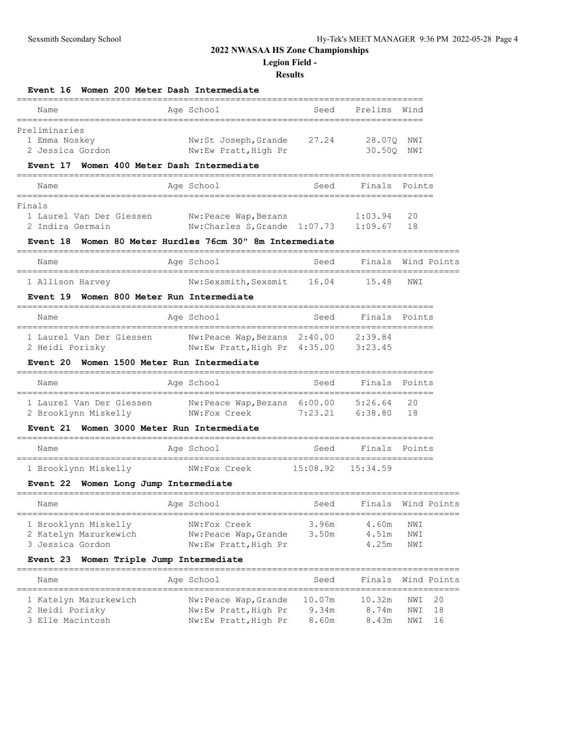## **Legion Field -**

| <b>Event 16</b><br>Women 200 Meter Dash Intermediate<br>-------------                                                    |                                                                      |                          |                                 |                                     |
|--------------------------------------------------------------------------------------------------------------------------|----------------------------------------------------------------------|--------------------------|---------------------------------|-------------------------------------|
| Name                                                                                                                     | Age School                                                           | Seed                     | Prelims                         | Wind                                |
| ==========<br>Preliminaries<br>1 Emma Noskey<br>2 Jessica Gordon<br><b>Event 17</b><br>Women 400 Meter Dash Intermediate | Nw:St Joseph, Grande 27.24<br>Nw:Ew Pratt, High Pr                   |                          | 28.07Q<br>30.500                | NWI<br>NWI                          |
| Name                                                                                                                     | Age School                                                           | Seed                     | Finals                          | Points                              |
| $=$ = = = = = = $=$<br>Finals<br>1 Laurel Van Der Giessen<br>2 Indira Germain                                            | Nw:Peace Wap,Bezans<br>Nw:Charles S, Grande 1:07.73                  |                          | 1:03.94<br>1:09.67              | 20<br>18                            |
| Event 18                                                                                                                 | Women 80 Meter Hurdles 76cm 30" 8m Intermediate                      |                          |                                 |                                     |
| Name                                                                                                                     | Age School                                                           | Seed                     | Finals                          | Wind Points                         |
| 1 Allison Harvey                                                                                                         | Nw:Sexsmith, Sexsmit                                                 | 16.04                    | 15.48                           | NWI                                 |
| Women 800 Meter Run Intermediate<br>Event 19                                                                             |                                                                      |                          |                                 |                                     |
| Name                                                                                                                     | Age School                                                           | Seed                     | Finals                          | Points                              |
| 1 Laurel Van Der Giessen<br>2 Heidi Porisky                                                                              | Nw:Peace Wap, Bezans 2:40.00<br>Nw:Ew Pratt, High Pr 4:35.00         |                          | 2:39.84<br>3:23.45              |                                     |
| Women 1500 Meter Run Intermediate<br>Event 20                                                                            |                                                                      |                          |                                 |                                     |
| Name                                                                                                                     | Age School                                                           | Seed                     | Finals                          | Points                              |
| 1 Laurel Van Der Giessen<br>2 Brooklynn Miskelly                                                                         | Nw:Peace Wap,Bezans 6:00.00<br>NW:Fox Creek                          | 7:23.21                  | 5:26.64<br>6:38.80              | 20<br>18                            |
| Women 3000 Meter Run Intermediate<br><b>Event 21</b>                                                                     |                                                                      |                          |                                 |                                     |
| Name                                                                                                                     | Age School                                                           | Seed                     | Finals<br>--------------------- | Points                              |
| 1 Brooklynn Miskelly<br>Event 22 Women Long Jump Intermediate                                                            | NW:Fox Creek                                                         | 15:08.92                 | 15:34.59                        |                                     |
| Name                                                                                                                     | Age School                                                           | Seed                     | Finals                          | Wind Points                         |
| 1 Brooklynn Miskelly<br>2 Katelyn Mazurkewich<br>3 Jessica Gordon                                                        | NW:Fox Creek<br>Nw: Peace Wap, Grande<br>Nw:Ew Pratt, High Pr        | 3.96m<br>3.50m           | 4.60m<br>4.51m<br>4.25m         | NWI<br>NWI<br>NWI                   |
| Event 23 Women Triple Jump Intermediate                                                                                  | ----------------                                                     |                          |                                 |                                     |
| Name                                                                                                                     | Age School                                                           | Seed                     | Finals                          | Wind Points                         |
| 1 Katelyn Mazurkewich<br>2 Heidi Porisky<br>3 Elle Macintosh                                                             | Nw:Peace Wap, Grande<br>Nw:Ew Pratt, High Pr<br>Nw:Ew Pratt, High Pr | 10.07m<br>9.34m<br>8.60m | 10.32m<br>8.74m<br>8.43m        | 20<br>NWI<br>18<br>NWI<br>NWI<br>16 |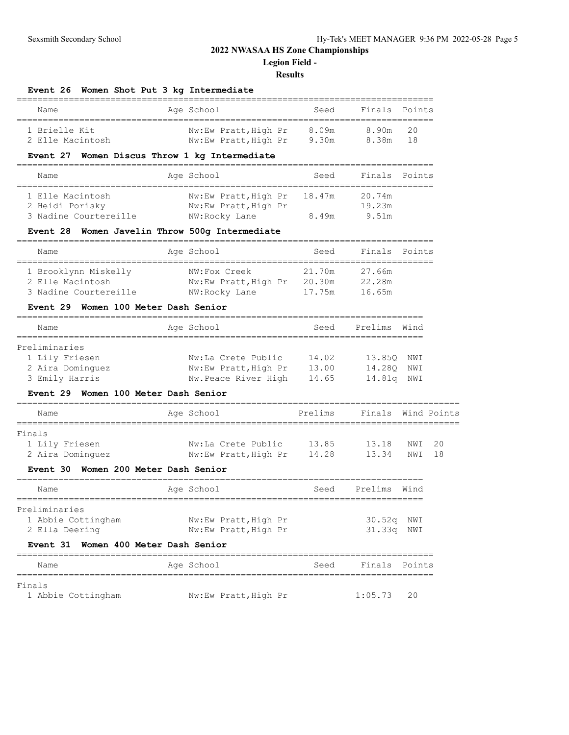**Legion Field -**

| Event 26<br>Women Shot Put 3 kg Intermediate                           |                                      |                     |                                        |             |    |
|------------------------------------------------------------------------|--------------------------------------|---------------------|----------------------------------------|-------------|----|
| Name                                                                   | Age School<br>______________________ | Seed                | Finals                                 | Points      |    |
| 1 Brielle Kit                                                          | Nw:Ew Pratt, High Pr 8.09m           |                     | 8.90m                                  | 20          |    |
| 2 Elle Macintosh                                                       | Nw:Ew Pratt, High Pr 9.30m           |                     | 8.38m                                  | 18          |    |
| Event 27 Women Discus Throw 1 kg Intermediate                          | ________________________________     |                     | ===========                            |             |    |
| Name<br>====================================                           | Age School                           | Seed                | Finals                                 | Points      |    |
| 1 Elle Macintosh                                                       | Nw:Ew Pratt, High Pr                 | 18.47m              | 20.74m                                 |             |    |
| 2 Heidi Porisky                                                        | Nw:Ew Pratt, High Pr                 |                     | 19.23m                                 |             |    |
| 3 Nadine Courtereille                                                  | NW:Rocky Lane                        | 8.49m               | 9.51m                                  |             |    |
| Event 28 Women Javelin Throw 500q Intermediate                         |                                      |                     |                                        |             |    |
| Name                                                                   | Age School                           | Seed                | Finals                                 | Points      |    |
| 1 Brooklynn Miskelly                                                   | NW:Fox Creek                         | 21.70m              | 27.66m                                 |             |    |
| 2 Elle Macintosh                                                       | Nw:Ew Pratt, High Pr 20.30m          |                     | 22.28m                                 |             |    |
| 3 Nadine Courtereille                                                  | NW:Rocky Lane                        | 17.75m              | 16.65m                                 |             |    |
| Women 100 Meter Dash Senior<br><b>Event 29</b>                         |                                      |                     |                                        |             |    |
| Name<br>_______________                                                | Age School<br>---------------------  | Seed                | Prelims<br>--------------------------- | Wind        |    |
| Preliminaries                                                          |                                      |                     |                                        |             |    |
| 1 Lily Friesen                                                         | Nw:La Crete Public                   | 14.02               | 13.850                                 | NWI         |    |
| 2 Aira Dominquez                                                       | Nw:Ew Pratt, High Pr                 | 13.00               | 14.280                                 | NWI         |    |
| 3 Emily Harris                                                         | Nw.Peace River High                  | 14.65               | 14.81q                                 | NWI         |    |
| Event 29<br>Women 100 Meter Dash Senior                                |                                      |                     |                                        |             |    |
| Name                                                                   | Age School                           | Prelims             | Finals                                 | Wind Points |    |
| ============<br>Finals                                                 |                                      |                     |                                        |             |    |
| 1 Lily Friesen                                                         | Nw:La Crete Public                   | 13.85               | 13.18                                  | NWI         | 20 |
| 2 Aira Dominguez                                                       | Nw:Ew Pratt, High Pr                 | 14.28               | 13.34                                  | NWI         | 18 |
| Women 200 Meter Dash Senior<br>Event 30<br>=========================== |                                      | =================== |                                        |             |    |
| Name                                                                   | Age School                           | Seed                | Prelims                                | Wind        |    |
| Preliminaries                                                          |                                      |                     |                                        |             |    |
| 1 Abbie Cottingham                                                     | Nw:Ew Pratt, High Pr                 |                     | 30.52q                                 | NWI         |    |
| 2 Ella Deering                                                         | Nw:Ew Pratt, High Pr                 |                     | 31.33q                                 | NWI         |    |
| Event 31<br>Women 400 Meter Dash Senior                                |                                      |                     |                                        |             |    |
| Name                                                                   | Age School                           | Seed                | Finals                                 | Points      |    |
| Finals                                                                 |                                      |                     |                                        |             |    |
| 1 Abbie Cottingham                                                     | Nw:Ew Pratt, High Pr                 |                     | 1:05.73                                | 20          |    |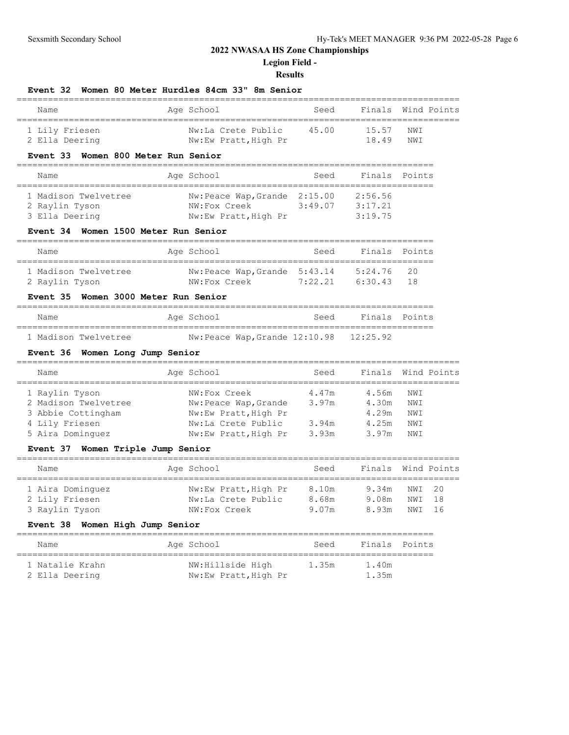**Event 32 Women 80 Meter Hurdles 84cm 33" 8m Senior**

## **2022 NWASAA HS Zone Championships**

**Legion Field -**

| Name                                                                     |            | Age School<br>.==============     | Seed    | Finals<br>-----------                           | Wind Points |
|--------------------------------------------------------------------------|------------|-----------------------------------|---------|-------------------------------------------------|-------------|
| 1 Lily Friesen                                                           |            | Nw:La Crete Public                | 45.00   | 15.57                                           | NWI         |
| 2 Ella Deering                                                           |            | Nw:Ew Pratt, High Pr              |         | 18.49                                           | NWI         |
| Event 33 Women 800 Meter Run Senior                                      |            |                                   |         |                                                 |             |
| Name                                                                     | ---------- | Age School                        | Seed    | Finals<br>____________________                  | Points      |
| 1 Madison Twelvetree                                                     |            | Nw: Peace Wap, Grande             | 2:15.00 | 2:56.56                                         |             |
| 2 Raylin Tyson                                                           |            | NW:Fox Creek                      | 3:49.07 | 3:17.21                                         |             |
| 3 Ella Deering                                                           |            | Nw:Ew Pratt, High Pr              |         | 3:19.75                                         |             |
| Event 34 Women 1500 Meter Run Senior<br>________________________________ |            |                                   |         |                                                 |             |
| Name                                                                     |            | Age School                        | Seed    | Finals                                          | Points      |
| 1 Madison Twelvetree                                                     |            | Nw:Peace Wap, Grande              | 5:43.14 | 5:24.76                                         | 20          |
| 2 Raylin Tyson                                                           |            | NW: Fox Creek                     | 7:22.21 | 6:30.43                                         | 18          |
| Event 35 Women 3000 Meter Run Senior                                     |            |                                   |         |                                                 |             |
| Name<br>______________                                                   |            | Age School<br>__________          | Seed    | Finals<br>===================================== | Points      |
| 1 Madison Twelvetree                                                     |            | Nw:Peace Wap, Grande 12:10.98     |         | 12:25.92                                        |             |
| Event 36 Women Long Jump Senior                                          |            |                                   |         |                                                 |             |
| Name                                                                     |            | ===================<br>Age School | Seed    | Finals                                          | Wind Points |
| 1 Raylin Tyson                                                           |            | NW:Fox Creek                      | 4.47m   | 4.56m                                           | NWI         |
| 2 Madison Twelvetree                                                     |            | Nw:Peace Wap, Grande              | 3.97m   | 4.30m                                           | NWI         |
| 3 Abbie Cottingham                                                       |            | Nw:Ew Pratt, High Pr              |         | 4.29m                                           | NWI         |
| 4 Lily Friesen                                                           |            | Nw:La Crete Public                | 3.94m   | 4.25m                                           | NWI         |
| 5 Aira Dominguez                                                         |            | Nw:Ew Pratt, High Pr              | 3.93m   | 3.97m                                           | NWI         |
| Event 37 Women Triple Jump Senior                                        |            |                                   |         |                                                 |             |
| Name                                                                     |            | Age School                        | Seed    | Finals                                          | Wind Points |
| 1 Aira Dominquez                                                         |            | Nw:Ew Pratt, High Pr              | 8.10m   | 9.34m                                           | 20<br>NWI   |
| 2 Lily Friesen                                                           |            | Nw:La Crete Public                | 8.68m   | 9.08m                                           | 18<br>NWI   |
| 3 Raylin Tyson                                                           |            | NW:Fox Creek                      | 9.07m   | 8.93m                                           | NWI<br>16   |
| Event 38 Women High Jump Senior                                          |            |                                   |         |                                                 |             |
| Name                                                                     |            | Age School                        | Seed    | Finals                                          | Points      |
| ____________________________________<br>1 Natalie Krahn                  |            | NW:Hillside High                  | 1.35m   | 1.40m                                           |             |
| 2 Ella Deering                                                           |            | Nw:Ew Pratt, High Pr              |         | 1.35m                                           |             |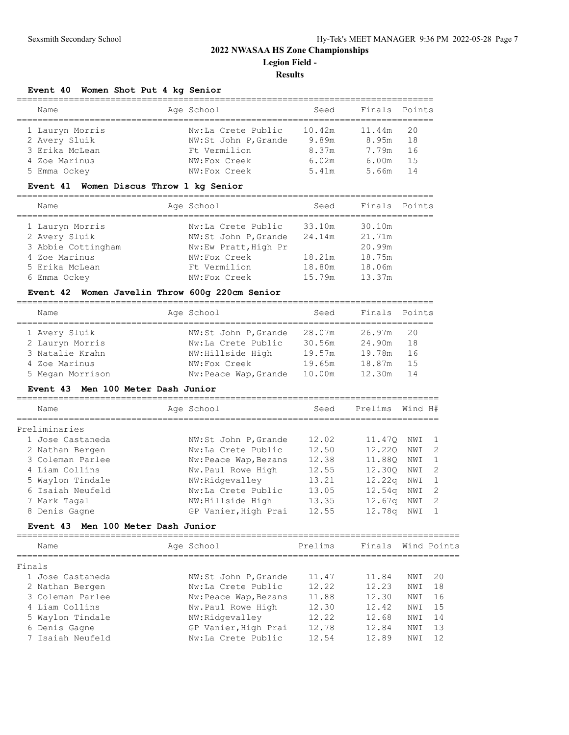#### **Event 40 Women Shot Put 4 kg Senior**

| Name            |  | Age School           | Seed   | Finals Points |      |  |  |  |
|-----------------|--|----------------------|--------|---------------|------|--|--|--|
|                 |  |                      |        |               |      |  |  |  |
| 1 Lauryn Morris |  | Nw:La Crete Public   | 10.42m | 11.44m        | -20  |  |  |  |
| 2 Avery Sluik   |  | NW:St John P, Grande | 9.89m  | 8.95m         | 18   |  |  |  |
| 3 Erika McLean  |  | Ft Vermilion         | 8.37m  | 7.79m         | 16   |  |  |  |
| 4 Zoe Marinus   |  | NW:Fox Creek         | 6.02m  | 6.00m         | -1.5 |  |  |  |
| 5 Emma Ockey    |  | NW:Fox Creek         | 5.41m  | 5.66m         | 14   |  |  |  |

#### **Event 41 Women Discus Throw 1 kg Senior**

================================================================================

| Name               | Age School           | Seed   | Finals Points |
|--------------------|----------------------|--------|---------------|
| 1 Lauryn Morris    | Nw:La Crete Public   | 33.10m | 30.10m        |
| 2 Avery Sluik      | NW:St John P, Grande | 24.14m | 21.71m        |
| 3 Abbie Cottingham | Nw:Ew Pratt, High Pr |        | 20.99m        |
| 4 Zoe Marinus      | NW:Fox Creek         | 18.21m | 18.75m        |
| 5 Erika McLean     | Ft Vermilion         | 18.80m | 18.06m        |
| 6 Emma Ockey       | NW:Fox Creek         | 15.79m | 13.37m        |

#### **Event 42 Women Javelin Throw 600g 220cm Senior**

================================================================================ Age School Seed Finals Points ================================================================================ 1 Avery Sluik NW:St John P,Grande 28.07m 26.97m 20 2 Lauryn Morris Nw:La Crete Public 30.56m 24.90m 18 3 Natalie Krahn NW:Hillside High 19.57m 19.78m 16 4 Zoe Marinus NW:Fox Creek 19.65m 18.87m 15 5 Megan Morrison Nw:Peace Wap,Grande 10.00m 12.30m 14

#### **Event 43 Men 100 Meter Dash Junior**

| Name             | Age School            | Seed  | Prelims            | Wind H# |    |
|------------------|-----------------------|-------|--------------------|---------|----|
| Preliminaries    |                       |       |                    |         |    |
| 1 Jose Castaneda | NW:St John P, Grande  | 12.02 | 11.470             | NWI     |    |
| 2 Nathan Bergen  | Nw:La Crete Public    | 12.50 | 12.220             | NWI     | -2 |
| 3 Coleman Parlee | Nw: Peace Wap, Bezans | 12.38 | 11.880             | NWI     |    |
| 4 Liam Collins   | Nw.Paul Rowe High     | 12.55 | 12.300             | NWI     |    |
| 5 Waylon Tindale | NW:Ridgevalley        | 13.21 | 12.22q             | NWI     |    |
| 6 Isaiah Neufeld | Nw:La Crete Public    | 13.05 | 12.54 <sub>q</sub> | NWI     | 2  |
| 7 Mark Tagal     | NW:Hillside High      | 13.35 | 12.67q             | NWI     | 2  |
| 8 Denis Gagne    | GP Vanier, High Prai  | 12.55 | 12.78q             | NWI     |    |

#### **Event 43 Men 100 Meter Dash Junior**

| Name             | Age School            | Prelims | Finals Wind Points |      |    |
|------------------|-----------------------|---------|--------------------|------|----|
| Finals           |                       |         |                    |      |    |
| 1 Jose Castaneda | NW:St John P, Grande  | 11.47   | 11.84              | NWI  | 20 |
| 2 Nathan Bergen  | Nw:La Crete Public    | 12.22   | 12.23              | NW I | 18 |
| 3 Coleman Parlee | Nw: Peace Wap, Bezans | 11.88   | 12.30              | NWI  | 16 |
| 4 Liam Collins   | Nw.Paul Rowe High     | 12.30   | 12.42              | NWI  | 15 |
| 5 Waylon Tindale | NW:Ridgevalley        | 12.22   | 12.68              | NWI  | 14 |
| 6 Denis Gagne    | GP Vanier, High Prai  | 12.78   | 12.84              | NWI  | 13 |
| 7 Isaiah Neufeld | Nw:La Crete Public    | 12.54   | 12.89              | NW T | 12 |
|                  |                       |         |                    |      |    |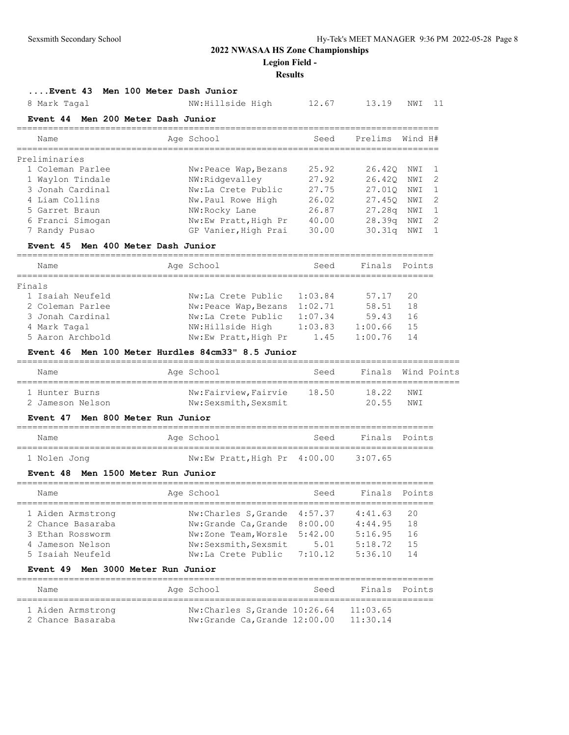**Legion Field -**

## **Results**

| Event 43                           | Men 100 Meter Dash Junior                         |         |               |         |              |
|------------------------------------|---------------------------------------------------|---------|---------------|---------|--------------|
| 8 Mark Tagal                       | NW:Hillside High                                  | 12.67   | 13.19         | NWI     | 11           |
| Event 44 Men 200 Meter Dash Junior |                                                   |         |               |         |              |
| Name                               | Age School                                        | Seed    | Prelims       | Wind H# |              |
| Preliminaries                      |                                                   |         |               |         |              |
| 1 Coleman Parlee                   | Nw: Peace Wap, Bezans                             | 25.92   | 26.42Q        | NWI     | 1            |
| 1 Waylon Tindale                   | NW:Ridgevalley                                    | 27.92   | 26.420        | NWI     | 2            |
| 3 Jonah Cardinal                   | Nw:La Crete Public                                | 27.75   | 27.010        | NWI     | $\mathbf{1}$ |
| 4 Liam Collins                     | Nw.Paul Rowe High                                 | 26.02   | 27.450        | NWI     | 2            |
| 5 Garret Braun                     | NW:Rocky Lane                                     | 26.87   | 27.28q        | NWI     | 1            |
| 6 Franci Simogan                   | Nw:Ew Pratt, High Pr                              | 40.00   | 28.39q        | NWI     | 2            |
| 7 Randy Pusao                      | GP Vanier, High Prai                              | 30.00   | 30.31q        | NWI     | $\mathbf{1}$ |
| <b>Event 45</b>                    | Men 400 Meter Dash Junior                         |         |               |         |              |
| Name                               | Age School                                        | Seed    | Finals        | Points  |              |
| Finals                             |                                                   |         |               |         |              |
| 1 Isaiah Neufeld                   | Nw:La Crete Public                                | 1:03.84 | 57.17         | 20      |              |
| 2 Coleman Parlee                   | Nw:Peace Wap, Bezans                              | 1:02.71 | 58.51         | 18      |              |
| 3 Jonah Cardinal                   | Nw:La Crete Public                                | 1:07.34 | 59.43         | 16      |              |
| 4 Mark Tagal                       | NW: Hillside High                                 | 1:03.83 | 1:00.66       | 15      |              |
| 5 Aaron Archbold                   | Nw:Ew Pratt, High Pr                              | 1.45    | 1:00.76       | 14      |              |
|                                    | Event 46 Men 100 Meter Hurdles 84cm33" 8.5 Junior |         |               |         |              |
| Name                               | Age School                                        | Seed    | Finals        |         | Wind Points  |
| 1 Hunter Burns                     | Nw:Fairview, Fairvie                              | 18.50   | 18.22         | NWI     |              |
| 2 Jameson Nelson                   | Nw:Sexsmith, Sexsmit                              |         | 20.55         | NWI     |              |
| <b>Event 47</b>                    | Men 800 Meter Run Junior                          |         |               |         |              |
| Name                               | Age School                                        | Seed    | Finals Points |         |              |
|                                    | Nw:Ew Pratt, High Pr 4:00.00                      |         | 3:07.65       |         |              |
| 1 Nolen Jong<br><b>Event 48</b>    | Men 1500 Meter Run Junior                         |         |               |         |              |
|                                    |                                                   |         |               |         |              |
| Name                               | Age School                                        | Seed    | Finals Points |         |              |
| 1 Aiden Armstrong                  | Nw:Charles S, Grande                              | 4:57.37 | 4:41.63       | 20      |              |
| 2 Chance Basaraba                  | Nw:Grande Ca, Grande                              | 8:00.00 | 4:44.95       | 18      |              |
| 3 Ethan Rossworm                   | Nw:Zone Team, Worsle                              | 5:42.00 | 5:16.95       | 16      |              |
| 4 Jameson Nelson                   | Nw:Sexsmith, Sexsmit                              | 5.01    | 5:18.72       | 15      |              |
| 5 Isaiah Neufeld                   | Nw:La Crete Public                                | 7:10.12 | 5:36.10       | 14      |              |
| Event 49 Men 3000 Meter Run Junior |                                                   |         |               |         |              |
| Name                               | Age School                                        | Seed    | Finals        | Points  |              |
| 1 Aiden Armstrong                  | Nw: Charles S, Grande 10:26.64                    |         | 11:03.65      |         |              |

2 Chance Basaraba Nw:Grande Ca,Grande 12:00.00 11:30.14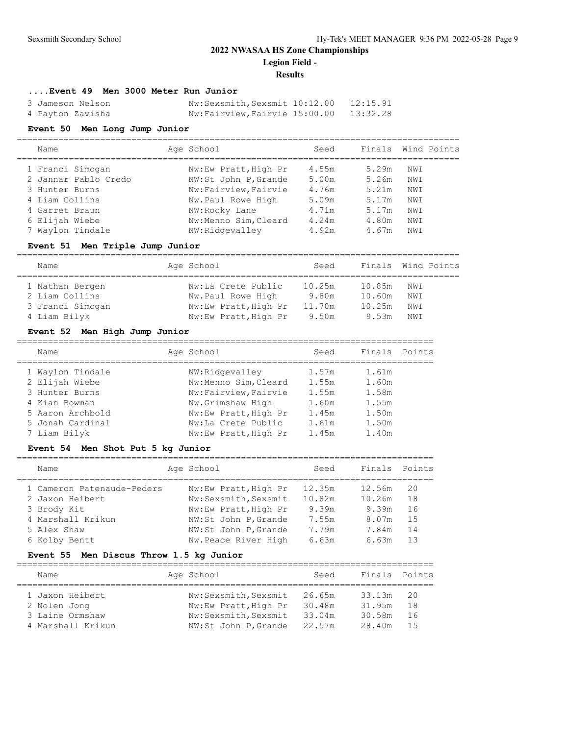#### **Results**

#### **....Event 49 Men 3000 Meter Run Junior**

| 3 Jameson Nelson | Nw:Sexsmith, Sexsmit 10:12.00 12:15.91 |          |
|------------------|----------------------------------------|----------|
| 4 Payton Zavisha | Nw:Fairview, Fairvie 15:00.00          | 13:32.28 |

### **Event 50 Men Long Jump Junior**

| Name                 | Age School           | Seed  | Finals Wind Points |     |  |
|----------------------|----------------------|-------|--------------------|-----|--|
| 1 Franci Simogan     | Nw:Ew Pratt, High Pr | 4.55m | 5.29m              | NWI |  |
| 2 Jannar Pablo Credo | NW:St John P, Grande | 5.00m | 5.26m              | NWI |  |
| 3 Hunter Burns       | Nw:Fairview, Fairvie | 4.76m | 5.21m              | NWI |  |
| 4 Liam Collins       | Nw.Paul Rowe High    | 5.09m | 5.17m              | NWI |  |
| 4 Garret Braun       | NW:Rocky Lane        | 4.71m | 5.17m              | NWI |  |
| 6 Elijah Wiebe       | Nw:Menno Sim, Cleard | 4.24m | 4.80m              | NWI |  |
| 7 Waylon Tindale     | NW:Ridgevalley       | 4.92m | 4.67m              | NWI |  |

### **Event 51 Men Triple Jump Junior**

| Name             | Age School           | Seed   |        | Finals Wind Points |  |
|------------------|----------------------|--------|--------|--------------------|--|
| 1 Nathan Bergen  | Nw:La Crete Public   | 10.25m | 10.85m | NWI                |  |
| 2 Liam Collins   | Nw.Paul Rowe High    | 9.80m  | 10.60m | NWI                |  |
| 3 Franci Simogan | Nw:Ew Pratt, High Pr | 11.70m | 10.25m | NWI                |  |
| 4 Liam Bilyk     | Nw:Ew Pratt, High Pr | 9.50m  | 9.53m  | NWI                |  |

### **Event 52 Men High Jump Junior**

| Name             | Age School           | Seed  | Finals Points |  |
|------------------|----------------------|-------|---------------|--|
| 1 Waylon Tindale | NW:Ridgevalley       | 1.57m | 1.61m         |  |
| 2 Elijah Wiebe   | Nw:Menno Sim, Cleard | 1.55m | 1.60m         |  |
| 3 Hunter Burns   | Nw:Fairview, Fairvie | 1.55m | 1.58m         |  |
| 4 Kian Bowman    | Nw.Grimshaw High     | 1.60m | 1.55m         |  |
| 5 Aaron Archbold | Nw:Ew Pratt, High Pr | 1.45m | 1.50m         |  |
| 5 Jonah Cardinal | Nw:La Crete Public   | 1.61m | 1.50m         |  |
| 7 Liam Bilyk     | Nw:Ew Pratt, High Pr | 1.45m | 1.40m         |  |
|                  |                      |       |               |  |

#### **Event 54 Men Shot Put 5 kg Junior**

| Name                       | Age School           | Seed   | Finals | Points |
|----------------------------|----------------------|--------|--------|--------|
| 1 Cameron Patenaude-Peders | Nw:Ew Pratt, High Pr | 12.35m | 12.56m | 20     |
|                            |                      |        |        |        |
| 2 Jaxon Heibert            | Nw:Sexsmith, Sexsmit | 10.82m | 10.26m | 18     |
| 3 Brody Kit                | Nw:Ew Pratt, High Pr | 9.39m  | 9.39m  | 16     |
| 4 Marshall Krikun          | NW:St John P, Grande | 7.55m  | 8.07m  | 1.5    |
| 5 Alex Shaw                | NW:St John P, Grande | 7.79m  | 7.84m  | 14     |
| 6 Kolby Bentt              | Nw.Peace River High  | 6.63m  | 6.63m  | 13     |

#### **Event 55 Men Discus Throw 1.5 kg Junior**

| Name              |  | Age School           | Seed   | Finals Points |     |  |  |  |
|-------------------|--|----------------------|--------|---------------|-----|--|--|--|
| 1 Jaxon Heibert   |  | Nw:Sexsmith, Sexsmit | 26.65m | 33.13m        | -20 |  |  |  |
| 2 Nolen Jong      |  | Nw:Ew Pratt, High Pr | 30.48m | 31.95m        | 1 R |  |  |  |
| 3 Laine Ormshaw   |  | Nw:Sexsmith, Sexsmit | 33.04m | 30.58m        | 16  |  |  |  |
| 4 Marshall Krikun |  | NW:St John P, Grande | 22.57m | 28.40m        | 15  |  |  |  |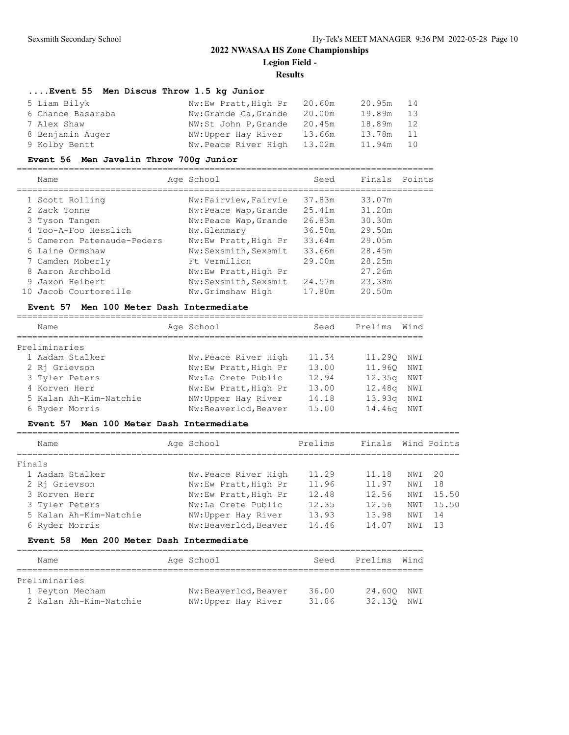## **Results**

## **....Event 55 Men Discus Throw 1.5 kg Junior**

| 5 Liam Bilyk      | Nw:Ew Pratt, High Pr 20.60m |        | 20.95m 14 |    |
|-------------------|-----------------------------|--------|-----------|----|
| 6 Chance Basaraba | Nw:Grande Ca, Grande        | 20.00m | 19.89m    | 13 |
| 7 Alex Shaw       | NW:St John P, Grande        | 20.45m | 18.89m    | 12 |
| 8 Benjamin Auger  | NW:Upper Hay River          | 13.66m | 13.78m    | 11 |
| 9 Kolby Bentt     | Nw.Peace River High         | 13.02m | 11.94m    | 10 |

#### **Event 56 Men Javelin Throw 700g Junior**

================================================================================

|     | Name                       | Age School            | Seed   | Finals Points |  |
|-----|----------------------------|-----------------------|--------|---------------|--|
|     | 1 Scott Rolling            | Nw:Fairview, Fairvie  | 37.83m | 33.07m        |  |
|     | 2 Zack Tonne               | Nw:Peace Wap, Grande  | 25.41m | 31.20m        |  |
|     | 3 Tyson Tangen             | Nw: Peace Wap, Grande | 26.83m | 30.30m        |  |
|     | 4 Too-A-Foo Hesslich       | Nw.Glenmary           | 36.50m | 29.50m        |  |
|     | 5 Cameron Patenaude-Peders | Nw:Ew Pratt, High Pr  | 33.64m | 29.05m        |  |
|     | 6 Laine Ormshaw            | Nw:Sexsmith, Sexsmit  | 33.66m | 28.45m        |  |
|     | 7 Camden Moberly           | Ft Vermilion          | 29.00m | 28.25m        |  |
|     | 8 Aaron Archbold           | Nw:Ew Pratt, High Pr  |        | 27.26m        |  |
|     | 9 Jaxon Heibert            | Nw:Sexsmith, Sexsmit  | 24.57m | 23.38m        |  |
| 10. | Jacob Courtoreille         | Nw.Grimshaw High      | 17.80m | 20.50m        |  |

#### **Event 57 Men 100 Meter Dash Intermediate**

| Name            |                        | Age School           | Seed  | Prelims            | Wind |
|-----------------|------------------------|----------------------|-------|--------------------|------|
| Preliminaries   |                        |                      |       |                    |      |
| 1 Aadam Stalker |                        | Nw.Peace River High  | 11.34 | 11,290             | NWI  |
| 2 Ri Grievson   |                        | Nw:Ew Pratt, High Pr | 13.00 | 11,960             | NWI  |
| 3 Tyler Peters  |                        | Nw:La Crete Public   | 12.94 | 12.35 <sub>q</sub> | NWI  |
| 4 Korven Herr   |                        | Nw:Ew Pratt, High Pr | 13.00 | 12.48 <sub>q</sub> | NWI  |
|                 | 5 Kalan Ah-Kim-Natchie | NW:Upper Hay River   | 14.18 | 13.93q             | NWI  |
| 6 Ryder Morris  |                        | Nw:Beaverlod, Beaver | 15.00 | 14.46g             | NWI  |

#### **Event 57 Men 100 Meter Dash Intermediate**

|        | Name                   | Age School           | Prelims | Finals |                 | Wind Points |
|--------|------------------------|----------------------|---------|--------|-----------------|-------------|
| Finals |                        |                      |         |        |                 |             |
|        | 1 Aadam Stalker        | Nw.Peace River High  | 11.29   | 11.18  | NWI             | -20         |
|        | 2 Ri Grievson          | Nw:Ew Pratt, High Pr | 11.96   | 11.97  | NWI             | 18          |
|        | 3 Korven Herr          | Nw:Ew Pratt, High Pr | 12.48   | 12.56  | NWI             | 15.50       |
|        | 3 Tyler Peters         | Nw:La Crete Public   | 12.35   | 12.56  | NWI             | 15.50       |
|        | 5 Kalan Ah-Kim-Natchie | NW:Upper Hay River   | 13.93   | 13.98  | NWI             | -14         |
|        | 6 Ryder Morris         | Nw:Beaverlod, Beaver | 14.46   | 14.07  | NW <sub>T</sub> | 13          |

#### **Event 58 Men 200 Meter Dash Intermediate**

| Name                   | Age School           | Seed  | Prelims | Wind |
|------------------------|----------------------|-------|---------|------|
|                        |                      |       |         |      |
| Preliminaries          |                      |       |         |      |
| 1 Peyton Mecham        | Nw:Beaverlod, Beaver | 36.00 | 24.600  | NWI  |
| 2 Kalan Ah-Kim-Natchie | NW:Upper Hay River   | 31.86 | 32.130  | NWI  |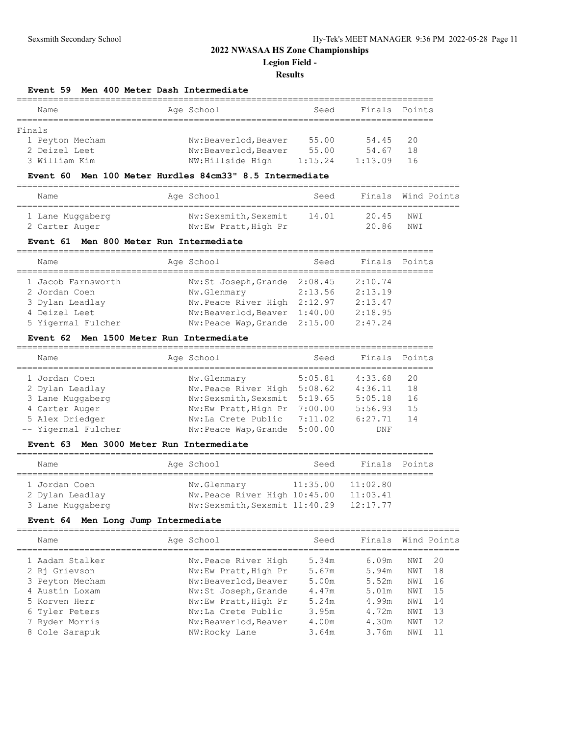**Legion Field -**

#### **Results**

#### **Event 59 Men 400 Meter Dash Intermediate**

|        | Name            | Age School           | Seed    | Finals  | Points |
|--------|-----------------|----------------------|---------|---------|--------|
|        |                 |                      |         |         |        |
| Finals |                 |                      |         |         |        |
|        | 1 Peyton Mecham | Nw:Beaverlod, Beaver | 55.00   | 54.45   | -20    |
|        | 2 Deizel Leet   | Nw:Beaverlod, Beaver | 55.00   | 54.67   | 18     |
|        | 3 William Kim   | NW: Hillside High    | 1:15.24 | 1:13.09 | -16    |

#### **Event 60 Men 100 Meter Hurdles 84cm33" 8.5 Intermediate**

| Name             | Age School           | Seed  | Finals Wind Points |     |  |
|------------------|----------------------|-------|--------------------|-----|--|
| 1 Lane Muggaberg | Nw:Sexsmith, Sexsmit | 14.01 | 20.45              | NWI |  |
| 2 Carter Auger   | Nw:Ew Pratt, High Pr |       | 20.86              | NWI |  |

#### **Event 61 Men 800 Meter Run Intermediate**

| Name               | Age School                   | Seed    | Finals Points |  |
|--------------------|------------------------------|---------|---------------|--|
| 1 Jacob Farnsworth | Nw:St Joseph, Grande 2:08.45 |         | 2:10.74       |  |
| 2 Jordan Coen      | Nw.Glenmary                  | 2:13.56 | 2:13.19       |  |
| 3 Dylan Leadlay    | Nw.Peace River High          | 2:12.97 | 2:13.47       |  |
| 4 Deizel Leet      | Nw:Beaverlod, Beaver 1:40.00 |         | 2:18.95       |  |
| 5 Yigermal Fulcher | Nw:Peace Wap, Grande 2:15.00 |         | 2:47.24       |  |

#### **Event 62 Men 1500 Meter Run Intermediate**

| Name                | Age School                   | Seed    | Finals  | Points |
|---------------------|------------------------------|---------|---------|--------|
| 1 Jordan Coen       | Nw.Glenmary                  | 5:05.81 | 4:33.68 | 20     |
| 2 Dylan Leadlay     | Nw.Peace River High 5:08.62  |         | 4:36.11 | 18     |
| 3 Lane Muggaberg    | Nw:Sexsmith, Sexsmit 5:19.65 |         | 5:05.18 | 16     |
| 4 Carter Auger      | Nw:Ew Pratt, High Pr         | 7:00.00 | 5:56.93 | 15     |
| 5 Alex Driedger     | Nw:La Crete Public           | 7:11.02 | 6:27.71 | 14     |
| -- Yigermal Fulcher | Nw:Peace Wap, Grande         | 5:00.00 | DNF     |        |
|                     |                              |         |         |        |

#### **Event 63 Men 3000 Meter Run Intermediate**

| Name                                                 | Age School |                                                                              | Seed     | Finals Points                    |  |
|------------------------------------------------------|------------|------------------------------------------------------------------------------|----------|----------------------------------|--|
| 1 Jordan Coen<br>2 Dylan Leadlay<br>3 Lane Muggaberg |            | Nw.Glenmary<br>Nw.Peace River High 10:45.00<br>Nw:Sexsmith, Sexsmit 11:40.29 | 11:35.00 | 11:02.80<br>11:03.41<br>12:17.77 |  |

#### **Event 64 Men Long Jump Intermediate**

#### ===================================================================================== Name Age School Seed Finals Wind Points ===================================================================================== 1 Aadam Stalker Nw.Peace River High 5.34m 6.09m NWI 20 2 Rj Grievson Nw:Ew Pratt,High Pr 5.67m 5.94m NWI 18 3 Peyton Mecham Nw:Beaverlod,Beaver 5.00m 5.52m NWI 16 4 Austin Loxam Nw:St Joseph,Grande 4.47m 5.01m NWI 15 5 Korven Herr Nw:Ew Pratt,High Pr 5.24m 4.99m NWI 14 6 Tyler Peters Nw:La Crete Public 3.95m 4.72m NWI 13 7 Ryder Morris Nw:Beaverlod,Beaver 4.00m 4.30m NWI 12 8 Cole Sarapuk NW:Rocky Lane 3.64m 3.76m NWI 11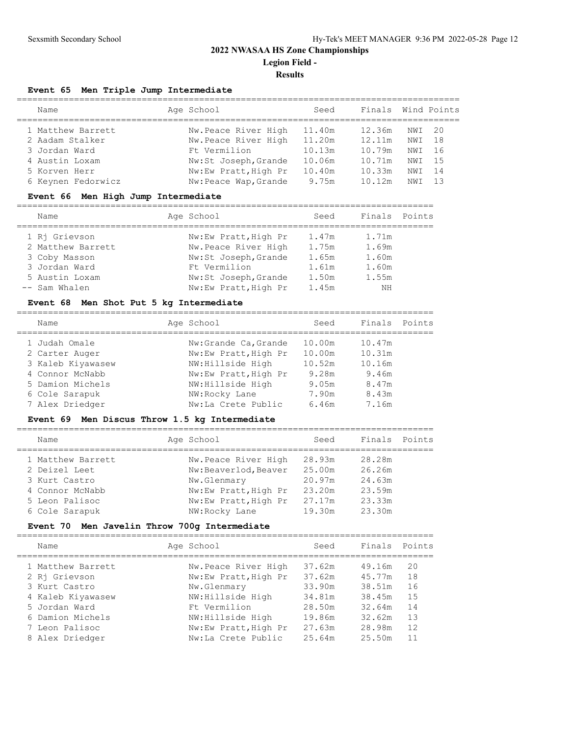#### **Results**

### **Event 65 Men Triple Jump Intermediate**

| Name               | Age School            | Seed   | Finals Wind Points |      |      |
|--------------------|-----------------------|--------|--------------------|------|------|
| 1 Matthew Barrett  | Nw.Peace River High   | 11.40m | 12.36m             | NWI  | - 20 |
| 2 Aadam Stalker    | Nw.Peace River High   | 11.20m | 12.11m             | NWI  | 18   |
| 3 Jordan Ward      | Ft Vermilion          | 10.13m | 10.79m             | NWI  | - 16 |
| 4 Austin Loxam     | Nw:St Joseph, Grande  | 10.06m | 10.71m             | NWI  | 1.5  |
| 5 Korven Herr      | Nw:Ew Pratt, High Pr  | 10.40m | 10.33m             | NWI  | 14   |
| 6 Keynen Fedorwicz | Nw: Peace Wap, Grande | 9.75m  | 10.12m             | NW T | 13   |
|                    |                       |        |                    |      |      |

### **Event 66 Men High Jump Intermediate**

| Name              | Age School           | Seed  | Finals Points |  |
|-------------------|----------------------|-------|---------------|--|
| 1 Ri Grievson     | Nw:Ew Pratt, High Pr | 1.47m | 1.71m         |  |
| 2 Matthew Barrett | Nw.Peace River High  | 1.75m | 1.69m         |  |
| 3 Coby Masson     | Nw:St Joseph, Grande | 1.65m | 1.60m         |  |
| 3 Jordan Ward     | Ft Vermilion         | 1.61m | 1.60m         |  |
| 5 Austin Loxam    | Nw:St Joseph, Grande | 1.50m | 1.55m         |  |
| -- Sam Whalen     | Nw:Ew Pratt, High Pr | 1.45m | NΗ            |  |
|                   |                      |       |               |  |

#### **Event 68 Men Shot Put 5 kg Intermediate**

| Name              | Age School           | Seed   | Finals | Points |
|-------------------|----------------------|--------|--------|--------|
| 1 Judah Omale     | Nw:Grande Ca, Grande | 10.00m | 10.47m |        |
| 2 Carter Auger    | Nw:Ew Pratt, High Pr | 10.00m | 10.31m |        |
| 3 Kaleb Kiyawasew | NW:Hillside High     | 10.52m | 10.16m |        |
| 4 Connor McNabb   | Nw:Ew Pratt, High Pr | 9.28m  | 9.46m  |        |
| 5 Damion Michels  | NW: Hillside High    | 9.05m  | 8.47m  |        |
| 6 Cole Sarapuk    | NW:Rocky Lane        | 7.90m  | 8.43m  |        |
| 7 Alex Driedger   | Nw:La Crete Public   | 6.46m  | 7.16m  |        |
|                   |                      |        |        |        |

## **Event 69 Men Discus Throw 1.5 kg Intermediate**

| Name              | Age School           | Seed   | Finals Points |  |
|-------------------|----------------------|--------|---------------|--|
| 1 Matthew Barrett | Nw. Peace River High | 28.93m | 28.28m        |  |
| 2 Deizel Leet     | Nw:Beaverlod, Beaver | 25.00m | 26.26m        |  |
| 3 Kurt Castro     | Nw.Glenmary          | 20.97m | 24.63m        |  |
| 4 Connor McNabb   | Nw:Ew Pratt, High Pr | 23.20m | 23.59m        |  |
| 5 Leon Palisoc    | Nw:Ew Pratt, High Pr | 27.17m | 23.33m        |  |
| 6 Cole Sarapuk    | NW:Rocky Lane        | 19.30m | 23.30m        |  |
|                   |                      |        |               |  |

#### **Event 70 Men Javelin Throw 700g Intermediate**

| Name              | Age School           | Seed   | Finals | Points |
|-------------------|----------------------|--------|--------|--------|
| 1 Matthew Barrett | Nw.Peace River High  | 37.62m | 49.16m | 20     |
| 2 Ri Grievson     | Nw:Ew Pratt, High Pr | 37.62m | 45.77m | 18     |
| 3 Kurt Castro     | Nw.Glenmary          | 33.90m | 38.51m | 16     |
| 4 Kaleb Kiyawasew | NW: Hillside High    | 34.81m | 38.45m | 1.5    |
| 5 Jordan Ward     | Ft Vermilion         | 28.50m | 32.64m | 14     |
| 6 Damion Michels  | NW: Hillside High    | 19.86m | 32.62m | 13     |
| 7 Leon Palisoc    | Nw:Ew Pratt, High Pr | 27.63m | 28.98m | 12     |
| 8 Alex Driedger   | Nw:La Crete Public   | 25.64m | 25.50m | 11     |
|                   |                      |        |        |        |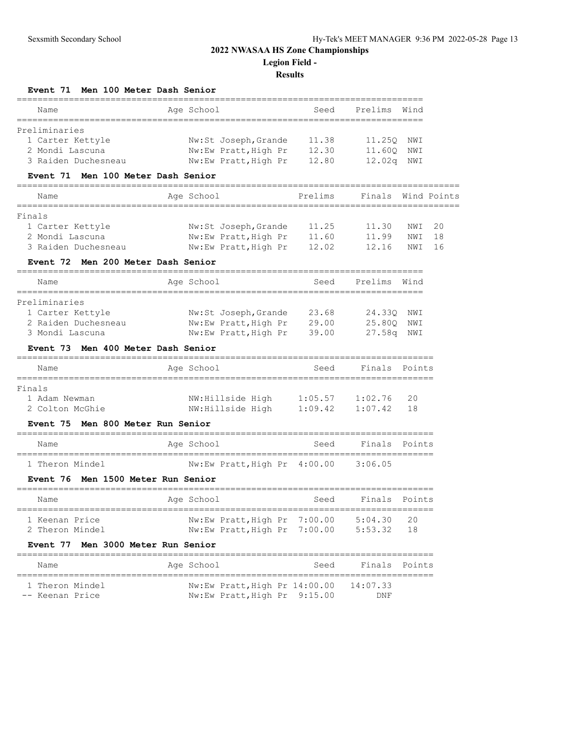| Event 71                                                                    | Men 100 Meter Dash Senior              |         |               |             |
|-----------------------------------------------------------------------------|----------------------------------------|---------|---------------|-------------|
| Name<br>__________                                                          | Age School                             | Seed    | Prelims       | Wind        |
| Preliminaries                                                               |                                        |         |               |             |
| 1 Carter Kettyle                                                            | Nw:St Joseph, Grande                   | 11.38   | 11.250        | NWI         |
| 2 Mondi Lascuna                                                             | Nw:Ew Pratt, High Pr                   | 12.30   | 11.60Q        | NWI         |
| 3 Raiden Duchesneau                                                         | Nw:Ew Pratt, High Pr                   | 12.80   | 12.02q        | NWI         |
| Event 71 Men 100 Meter Dash Senior                                          |                                        |         |               |             |
| Name<br>===================                                                 | Age School                             | Prelims | Finals        | Wind Points |
| Finals                                                                      |                                        |         |               |             |
| 1 Carter Kettyle                                                            | Nw:St Joseph, Grande                   | 11.25   | 11.30         | 20<br>NWI   |
| 2 Mondi Lascuna                                                             | Nw:Ew Pratt, High Pr                   | 11.60   | 11.99         | 18<br>NWI   |
| 3 Raiden Duchesneau                                                         | Nw:Ew Pratt, High Pr                   | 12.02   | 12.16         | 16<br>NWI   |
| Event 72<br>Men 200 Meter Dash Senior                                       |                                        |         |               |             |
| Name                                                                        | Age School                             | Seed    | Prelims       | Wind        |
| Preliminaries                                                               |                                        |         |               |             |
| 1 Carter Kettyle                                                            | Nw:St Joseph,Grande                    | 23.68   | 24.330        | NWI         |
| 2 Raiden Duchesneau                                                         | Nw:Ew Pratt, High Pr                   | 29.00   | 25.80Q        | NWI         |
| 3 Mondi Lascuna                                                             | Nw:Ew Pratt, High Pr                   | 39.00   | 27.58g        | NWI         |
| Event 73 Men 400 Meter Dash Senior<br>===================================== |                                        |         |               |             |
| Name                                                                        | Age School                             | Seed    | Finals        | Points      |
| Finals                                                                      |                                        |         | =========     |             |
| 1 Adam Newman                                                               | NW:Hillside High                       | 1:05.57 | 1:02.76       | 20          |
| 2 Colton McGhie                                                             | NW:Hillside High                       | 1:09.42 | 1:07.42       | 18          |
| Men 800 Meter Run Senior<br>Event 75                                        |                                        |         |               |             |
| Name                                                                        | Age School                             | Seed    | Finals        | Points      |
| 1 Theron Mindel                                                             | Nw:Ew Pratt, High Pr 4:00.00           |         | 3:06.05       |             |
| Event 76                                                                    | Men 1500 Meter Run Senior              |         |               |             |
|                                                                             |                                        |         |               |             |
| Name                                                                        | Age School                             | Seed    | Finals        | Points      |
| 1 Keenan Price                                                              | Nw:Ew Pratt, High Pr 7:00.00 5:04.30   |         |               | 20          |
| 2 Theron Mindel                                                             | Nw:Ew Pratt, High Pr 7:00.00           |         | 5:53.32       | 18          |
| Event 77 Men 3000 Meter Run Senior                                          |                                        |         |               |             |
| Name                                                                        | Age School                             | Seed    | Finals Points |             |
| 1 Theron Mindel                                                             | Nw:Ew Pratt, High Pr 14:00.00 14:07.33 |         |               |             |
| -- Keenan Price                                                             | Nw:Ew Pratt, High Pr 9:15.00           |         | DNF           |             |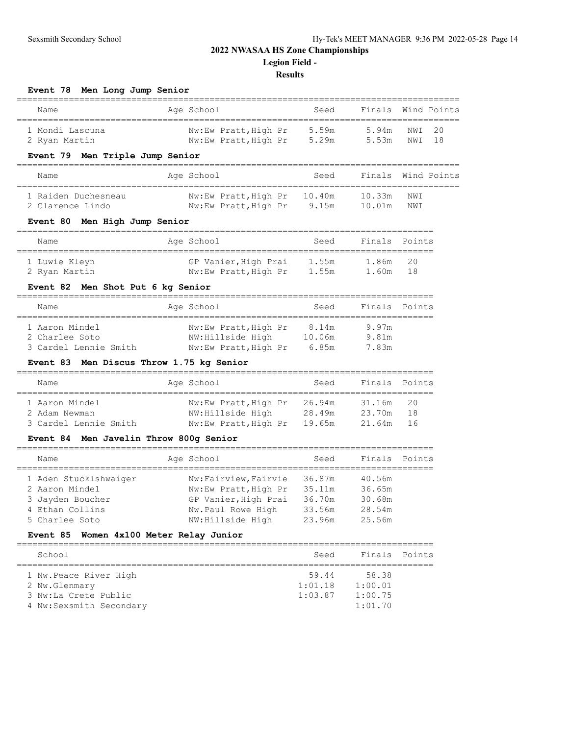## **Results**

**Event 78 Men Long Jump Senior** ===================================================================================== Name **Age School** Seed Finals Wind Points ===================================================================================== 1 Mondi Lascuna Nw:Ew Pratt,High Pr 5.59m 5.94m NWI 20 2 Ryan Martin The November 2 Ryan Muslem Press, 29m 5.53m NWI 18 **Event 79 Men Triple Jump Senior** ===================================================================================== Name **Age School** Seed Finals Wind Points ===================================================================================== 1 Raiden Duchesneau Nw:Ew Pratt,High Pr 10.40m 10.33m NWI 2 Clarence Lindo Nw:Ew Pratt,High Pr 9.15m 10.01m NWI **Event 80 Men High Jump Senior** ================================================================================ Name Age School Seed Finals Points ================================================================================ 1 Luwie Kleyn GP Vanier,High Prai 1.55m 1.86m 20 2 Ryan Martin Nw:Ew Pratt,High Pr 1.55m 1.60m 18 **Event 82 Men Shot Put 6 kg Senior** ================================================================================ Name **Age School** Seed Finals Points ================================================================================ 1 Aaron Mindel Nw:Ew Pratt,High Pr 8.14m 9.97m 2 Charlee Soto NW:Hillside High 10.06m 9.81m 3 Cardel Lennie Smith Nw:Ew Pratt,High Pr 6.85m 7.83m **Event 83 Men Discus Throw 1.75 kg Senior** ================================================================================

| Name                            | Age School                               | Seed             | Finals Points       |      |
|---------------------------------|------------------------------------------|------------------|---------------------|------|
| 1 Aaron Mindel<br>2 Adam Newman | Nw:Ew Pratt, High Pr<br>NW:Hillside High | 26.94m<br>28.49m | 31.16m 20<br>23.70m | - 18 |
| 3 Cardel Lennie Smith           | Nw:Ew Pratt, High Pr                     | 19.65m           | 21.64m 16           |      |

#### **Event 84 Men Javelin Throw 800g Senior**

| Name                  | Age School           | Seed   | Finals Points |  |
|-----------------------|----------------------|--------|---------------|--|
| 1 Aden Stucklshwaiger | Nw:Fairview, Fairvie | 36.87m | 40.56m        |  |
| 2 Aaron Mindel        | Nw:Ew Pratt, High Pr | 35.11m | 36.65m        |  |
| 3 Jayden Boucher      | GP Vanier, High Prai | 36.70m | 30.68m        |  |
| 4 Ethan Collins       | Nw.Paul Rowe High    | 33.56m | 28.54m        |  |
| 5 Charlee Soto        | NW: Hillside High    | 23.96m | 25.56m        |  |

#### **Event 85 Women 4x100 Meter Relay Junior**

| Seed    | Finals Points |  |
|---------|---------------|--|
|         |               |  |
| 59.44   | 58.38         |  |
| 1:01.18 | 1:00.01       |  |
| 1:03.87 | 1:00.75       |  |
|         | 1:01.70       |  |
|         |               |  |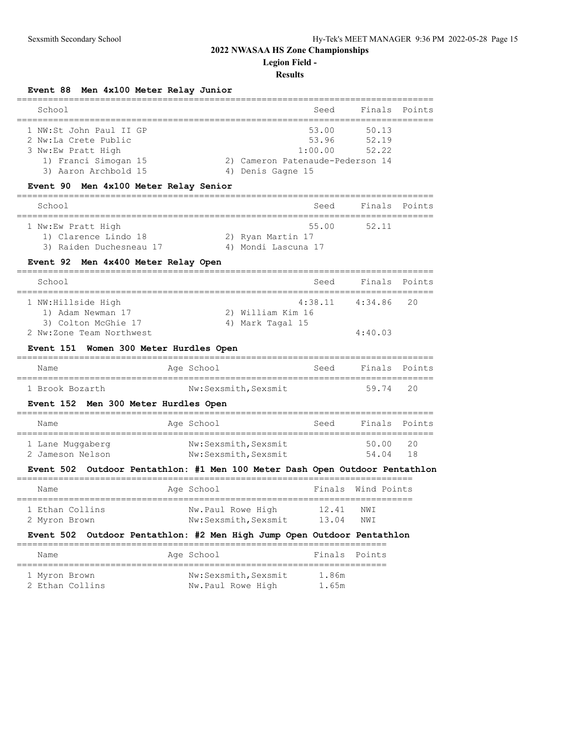**Legion Field -**

#### **Results**

**Event 88 Men 4x100 Meter Relay Junior**

| School                                                                                                                | Seed                                                                               |                         | Finals Points |
|-----------------------------------------------------------------------------------------------------------------------|------------------------------------------------------------------------------------|-------------------------|---------------|
| 1 NW:St John Paul II GP<br>2 Nw:La Crete Public<br>3 Nw:Ew Pratt High<br>1) Franci Simogan 15<br>3) Aaron Archbold 15 | 53.00<br>53.96<br>1:00.00<br>2) Cameron Patenaude-Pederson 14<br>4) Denis Gagne 15 | 50.13<br>52.19<br>52.22 |               |

#### **Event 90 Men 4x100 Meter Relay Senior**

| School                  | Seed                | Finals Points |  |  |  |  |  |
|-------------------------|---------------------|---------------|--|--|--|--|--|
|                         |                     |               |  |  |  |  |  |
| 1 Nw:Ew Pratt High      | 55.00               | 52.11         |  |  |  |  |  |
| 1) Clarence Lindo 18    | 2) Ryan Martin 17   |               |  |  |  |  |  |
| 3) Raiden Duchesneau 17 | 4) Mondi Lascuna 17 |               |  |  |  |  |  |

#### **Event 92 Men 4x400 Meter Relay Open**

| School                                          | Seed              | Finals Points          |  |
|-------------------------------------------------|-------------------|------------------------|--|
| 1 NW:Hillside High<br>1) Adam Newman 17         | 2) William Kim 16 | $4:38.11$ $4:34.86$ 20 |  |
| 3) Colton McGhie 17<br>2 Nw:Zone Team Northwest | 4) Mark Tagal 15  | 4:40.03                |  |

#### **Event 151 Women 300 Meter Hurdles Open**

| Name            | Age School           | Seed | Finals Points |  |
|-----------------|----------------------|------|---------------|--|
|                 |                      |      |               |  |
| 1 Brook Bozarth | Nw:Sexsmith, Sexsmit |      | 59.74 20      |  |

#### **Event 152 Men 300 Meter Hurdles Open**

| Name                                 | Age School                                   | Seed | Finals Points  |              |
|--------------------------------------|----------------------------------------------|------|----------------|--------------|
| 1 Lane Muggaberg<br>2 Jameson Nelson | Nw:Sexsmith, Sexsmit<br>Nw:Sexsmith, Sexsmit |      | 50.00<br>54.04 | -20<br>- 1 R |

### **Event 502 Outdoor Pentathlon: #1 Men 100 Meter Dash Open Outdoor Pentathlon**

| Name            | Age School           | Finals Wind Points |     |  |
|-----------------|----------------------|--------------------|-----|--|
| 1 Ethan Collins | Nw.Paul Rowe High    | 12.41              | NWI |  |
| 2 Myron Brown   | Nw:Sexsmith, Sexsmit | 13.04              | NWI |  |

#### **Event 502 Outdoor Pentathlon: #2 Men High Jump Open Outdoor Pentathlon**

| Name            |  | Age School           | Finals Points |  |  |  |  |  |
|-----------------|--|----------------------|---------------|--|--|--|--|--|
|                 |  |                      |               |  |  |  |  |  |
| 1 Myron Brown   |  | Nw:Sexsmith, Sexsmit | 1.86m         |  |  |  |  |  |
| 2 Ethan Collins |  | Nw.Paul Rowe High    | 1.65m         |  |  |  |  |  |